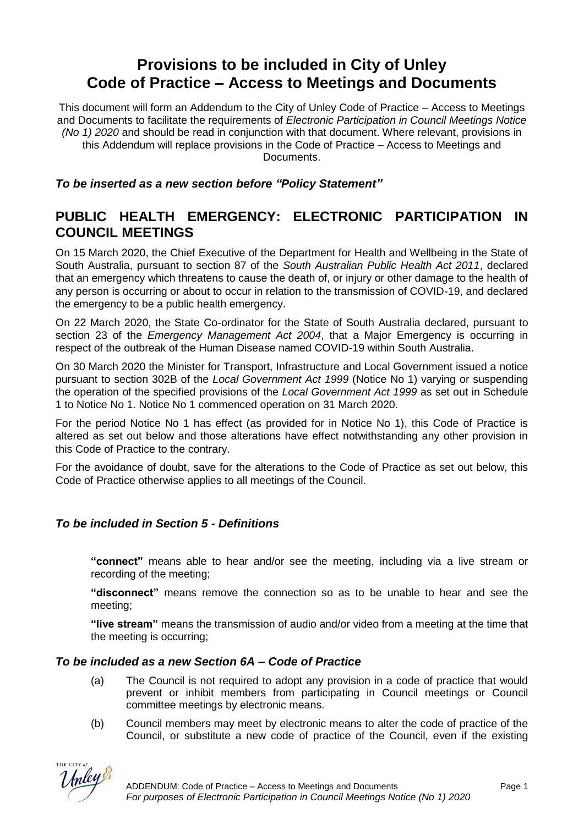# **Provisions to be included in City of Unley Code of Practice – Access to Meetings and Documents**

This document will form an Addendum to the City of Unley Code of Practice – Access to Meetings and Documents to facilitate the requirements of *Electronic Participation in Council Meetings Notice (No 1) 2020* and should be read in conjunction with that document. Where relevant, provisions in this Addendum will replace provisions in the Code of Practice – Access to Meetings and Documents.

*To be inserted as a new section before "Policy Statement"*

# **PUBLIC HEALTH EMERGENCY: ELECTRONIC PARTICIPATION IN COUNCIL MEETINGS**

On 15 March 2020, the Chief Executive of the Department for Health and Wellbeing in the State of South Australia, pursuant to section 87 of the *South Australian Public Health Act 2011*, declared that an emergency which threatens to cause the death of, or injury or other damage to the health of any person is occurring or about to occur in relation to the transmission of COVID-19, and declared the emergency to be a public health emergency.

On 22 March 2020, the State Co-ordinator for the State of South Australia declared, pursuant to section 23 of the *Emergency Management Act 2004*, that a Major Emergency is occurring in respect of the outbreak of the Human Disease named COVID-19 within South Australia.

On 30 March 2020 the Minister for Transport, Infrastructure and Local Government issued a notice pursuant to section 302B of the *Local Government Act 1999* (Notice No 1) varying or suspending the operation of the specified provisions of the *Local Government Act 1999* as set out in Schedule 1 to Notice No 1. Notice No 1 commenced operation on 31 March 2020.

For the period Notice No 1 has effect (as provided for in Notice No 1), this Code of Practice is altered as set out below and those alterations have effect notwithstanding any other provision in this Code of Practice to the contrary.

For the avoidance of doubt, save for the alterations to the Code of Practice as set out below, this Code of Practice otherwise applies to all meetings of the Council.

#### *To be included in Section 5 - Definitions*

**"connect"** means able to hear and/or see the meeting, including via a live stream or recording of the meeting;

**"disconnect"** means remove the connection so as to be unable to hear and see the meeting;

**"live stream"** means the transmission of audio and/or video from a meeting at the time that the meeting is occurring;

## *To be included as a new Section 6A – Code of Practice*

- (a) The Council is not required to adopt any provision in a code of practice that would prevent or inhibit members from participating in Council meetings or Council committee meetings by electronic means.
- (b) Council members may meet by electronic means to alter the code of practice of the Council, or substitute a new code of practice of the Council, even if the existing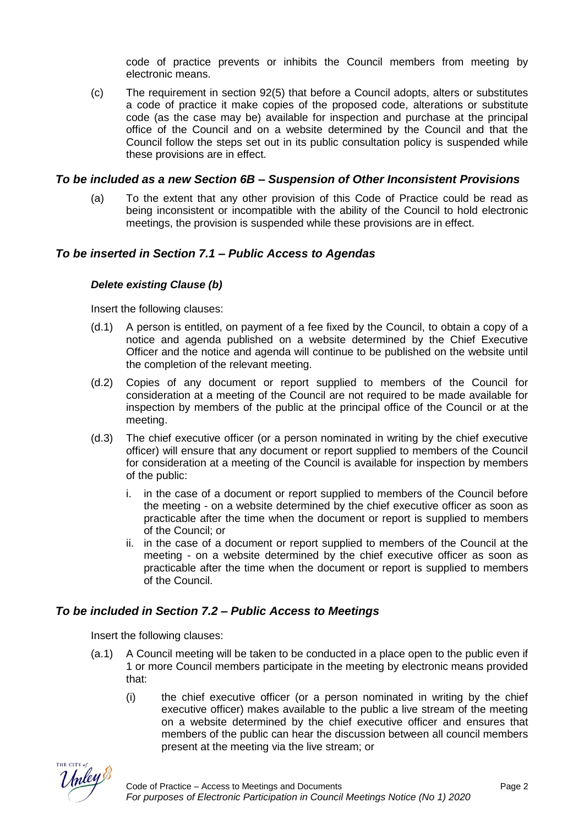code of practice prevents or inhibits the Council members from meeting by electronic means.

(c) The requirement in section 92(5) that before a Council adopts, alters or substitutes a code of practice it make copies of the proposed code, alterations or substitute code (as the case may be) available for inspection and purchase at the principal office of the Council and on a website determined by the Council and that the Council follow the steps set out in its public consultation policy is suspended while these provisions are in effect.

#### *To be included as a new Section 6B – Suspension of Other Inconsistent Provisions*

(a) To the extent that any other provision of this Code of Practice could be read as being inconsistent or incompatible with the ability of the Council to hold electronic meetings, the provision is suspended while these provisions are in effect.

#### *To be inserted in Section 7.1 – Public Access to Agendas*

#### *Delete existing Clause (b)*

Insert the following clauses:

- (d.1) A person is entitled, on payment of a fee fixed by the Council, to obtain a copy of a notice and agenda published on a website determined by the Chief Executive Officer and the notice and agenda will continue to be published on the website until the completion of the relevant meeting.
- (d.2) Copies of any document or report supplied to members of the Council for consideration at a meeting of the Council are not required to be made available for inspection by members of the public at the principal office of the Council or at the meeting.
- (d.3) The chief executive officer (or a person nominated in writing by the chief executive officer) will ensure that any document or report supplied to members of the Council for consideration at a meeting of the Council is available for inspection by members of the public:
	- i. in the case of a document or report supplied to members of the Council before the meeting - on a website determined by the chief executive officer as soon as practicable after the time when the document or report is supplied to members of the Council; or
	- ii. in the case of a document or report supplied to members of the Council at the meeting - on a website determined by the chief executive officer as soon as practicable after the time when the document or report is supplied to members of the Council.

#### *To be included in Section 7.2 – Public Access to Meetings*

Insert the following clauses:

- (a.1) A Council meeting will be taken to be conducted in a place open to the public even if 1 or more Council members participate in the meeting by electronic means provided that:
	- (i) the chief executive officer (or a person nominated in writing by the chief executive officer) makes available to the public a live stream of the meeting on a website determined by the chief executive officer and ensures that members of the public can hear the discussion between all council members present at the meeting via the live stream; or